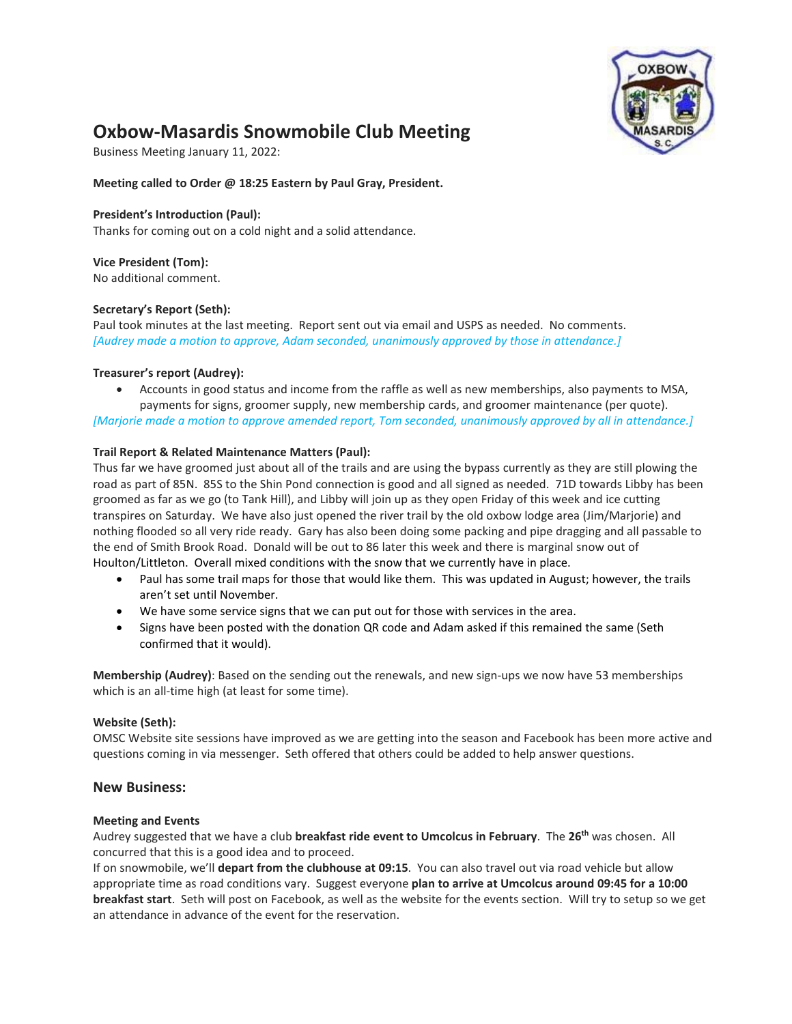

# **Oxbow-Masardis Snowmobile Club Meeting**

Business Meeting January 11, 2022:

**Meeting called to Order @ 18:25 Eastern by Paul Gray, President.** 

### **President's Introduction (Paul):**

Thanks for coming out on a cold night and a solid attendance.

## **Vice President (Tom):**

No additional comment.

### **Secretary's Report (Seth):**

Paul took minutes at the last meeting. Report sent out via email and USPS as needed. No comments. *[Audrey made a motion to approve, Adam seconded, unanimously approved by those in attendance.]*

### **Treasurer's report (Audrey):**

• Accounts in good status and income from the raffle as well as new memberships, also payments to MSA, payments for signs, groomer supply, new membership cards, and groomer maintenance (per quote).

*[Marjorie made a motion to approve amended report, Tom seconded, unanimously approved by all in attendance.]*

### **Trail Report & Related Maintenance Matters (Paul):**

Thus far we have groomed just about all of the trails and are using the bypass currently as they are still plowing the road as part of 85N. 85S to the Shin Pond connection is good and all signed as needed. 71D towards Libby has been groomed as far as we go (to Tank Hill), and Libby will join up as they open Friday of this week and ice cutting transpires on Saturday. We have also just opened the river trail by the old oxbow lodge area (Jim/Marjorie) and nothing flooded so all very ride ready. Gary has also been doing some packing and pipe dragging and all passable to the end of Smith Brook Road. Donald will be out to 86 later this week and there is marginal snow out of Houlton/Littleton. Overall mixed conditions with the snow that we currently have in place.

- Paul has some trail maps for those that would like them. This was updated in August; however, the trails aren't set until November.
- We have some service signs that we can put out for those with services in the area.
- Signs have been posted with the donation QR code and Adam asked if this remained the same (Seth confirmed that it would).

**Membership (Audrey)**: Based on the sending out the renewals, and new sign-ups we now have 53 memberships which is an all-time high (at least for some time).

### **Website (Seth):**

OMSC Website site sessions have improved as we are getting into the season and Facebook has been more active and questions coming in via messenger. Seth offered that others could be added to help answer questions.

### **New Business:**

### **Meeting and Events**

Audrey suggested that we have a club **breakfast ride event to Umcolcus in February**. The **26th** was chosen. All concurred that this is a good idea and to proceed.

If on snowmobile, we'll **depart from the clubhouse at 09:15**. You can also travel out via road vehicle but allow appropriate time as road conditions vary. Suggest everyone **plan to arrive at Umcolcus around 09:45 for a 10:00 breakfast start**. Seth will post on Facebook, as well as the website for the events section. Will try to setup so we get an attendance in advance of the event for the reservation.